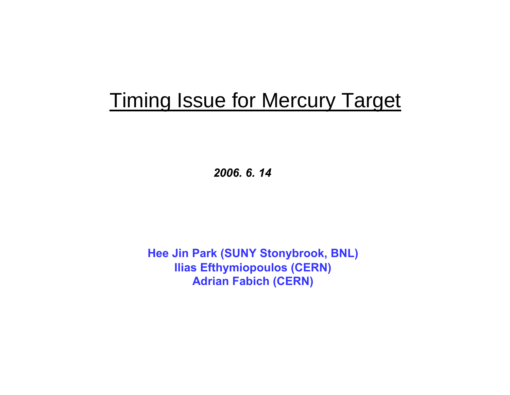## Timing Issue for Mercury Target

*2006. 6. 14*

**Hee Jin Park (SUNY Stonybrook, BNL) Ilias Efthymiopoulos (CERN) Adrian Fabich (CERN)**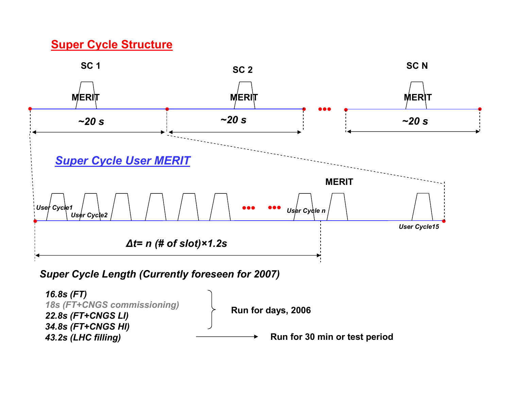## **Super Cycle Structure**

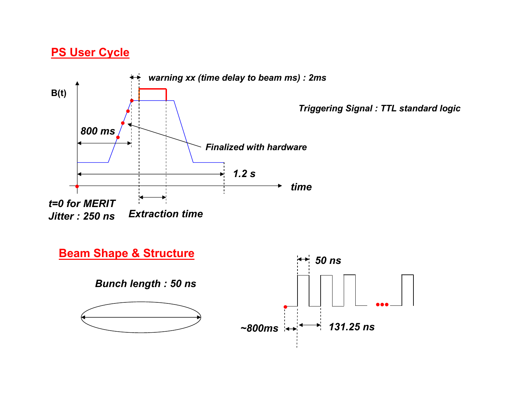## **PS User Cycle**

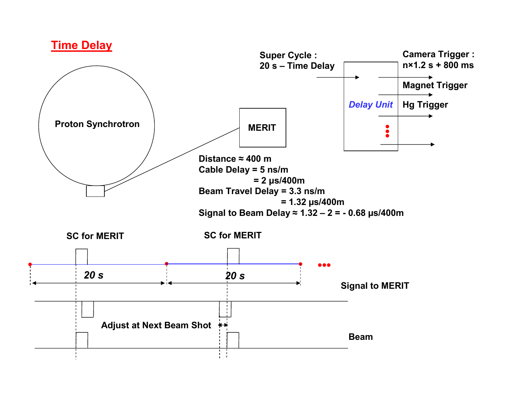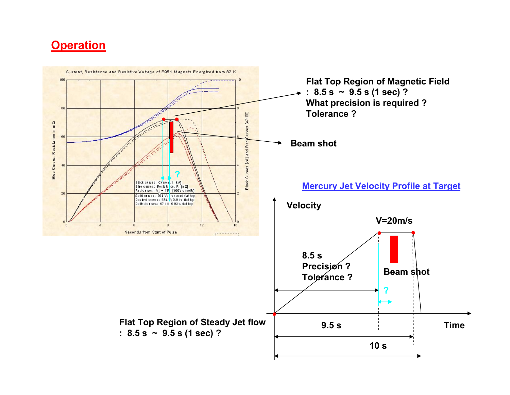